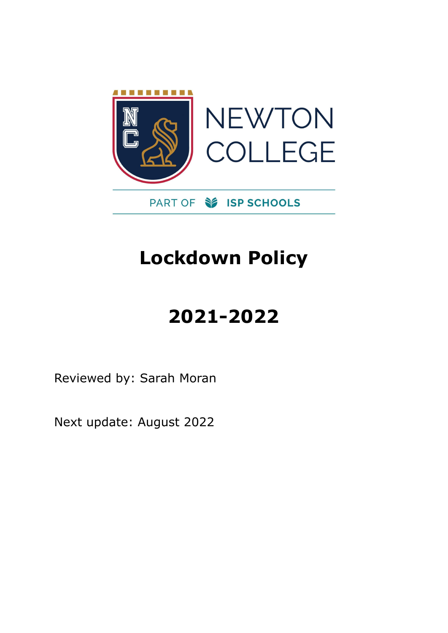

# **Lockdown Policy**

# **2021-2022**

Reviewed by: Sarah Moran

Next update: August 2022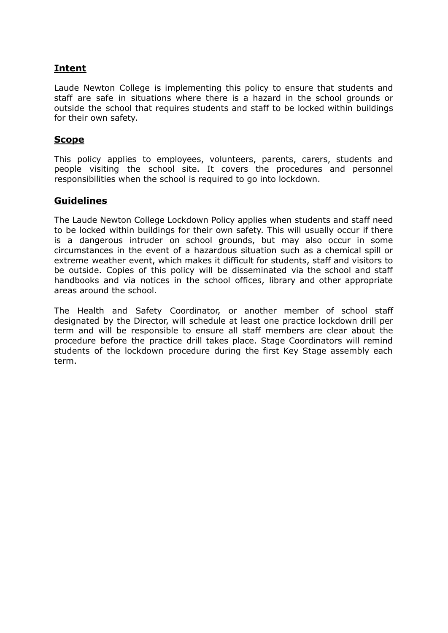# **Intent**

Laude Newton College is implementing this policy to ensure that students and staff are safe in situations where there is a hazard in the school grounds or outside the school that requires students and staff to be locked within buildings for their own safety.

## **Scope**

This policy applies to employees, volunteers, parents, carers, students and people visiting the school site. It covers the procedures and personnel responsibilities when the school is required to go into lockdown.

## **Guidelines**

The Laude Newton College Lockdown Policy applies when students and staff need to be locked within buildings for their own safety. This will usually occur if there is a dangerous intruder on school grounds, but may also occur in some circumstances in the event of a hazardous situation such as a chemical spill or extreme weather event, which makes it difficult for students, staff and visitors to be outside. Copies of this policy will be disseminated via the school and staff handbooks and via notices in the school offices, library and other appropriate areas around the school.

The Health and Safety Coordinator, or another member of school staff designated by the Director, will schedule at least one practice lockdown drill per term and will be responsible to ensure all staff members are clear about the procedure before the practice drill takes place. Stage Coordinators will remind students of the lockdown procedure during the first Key Stage assembly each term.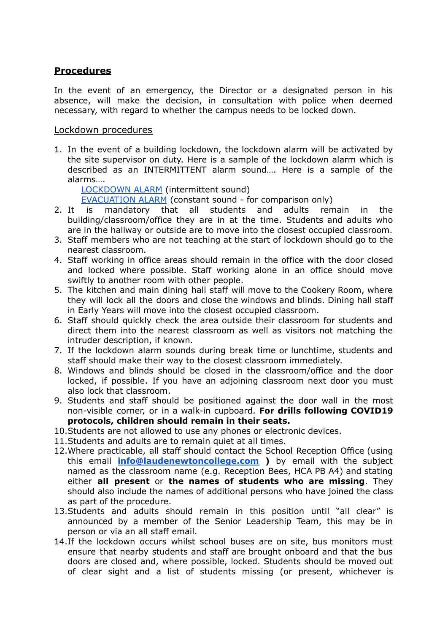### **Procedures**

In the event of an emergency, the Director or a designated person in his absence, will make the decision, in consultation with police when deemed necessary, with regard to whether the campus needs to be locked down.

### Lockdown procedures

1. In the event of a building lockdown, the lockdown alarm will be activated by the site supervisor on duty. Here is a sample of the lockdown alarm which is described as an INTERMITTENT alarm sound…. Here is a sample of the alarms….

[LOCKDOWN](https://drive.google.com/file/d/1imJgGxm9w9jIUaDqFTVa2ZdtWK6YbqAs/view?usp=sharing) ALARM (intermittent sound)

[EVACUATION](https://drive.google.com/file/d/1BfGIN5mRLSOtnK-rOeU2JneCGOKgDA4s/view?usp=sharing) ALARM (constant sound - for comparison only)

- 2. It is mandatory that all students and adults remain in the building/classroom/office they are in at the time. Students and adults who are in the hallway or outside are to move into the closest occupied classroom.
- 3. Staff members who are not teaching at the start of lockdown should go to the nearest classroom.
- 4. Staff working in office areas should remain in the office with the door closed and locked where possible. Staff working alone in an office should move swiftly to another room with other people.
- 5. The kitchen and main dining hall staff will move to the Cookery Room, where they will lock all the doors and close the windows and blinds. Dining hall staff in Early Years will move into the closest occupied classroom.
- 6. Staff should quickly check the area outside their classroom for students and direct them into the nearest classroom as well as visitors not matching the intruder description, if known.
- 7. If the lockdown alarm sounds during break time or lunchtime, students and staff should make their way to the closest classroom immediately.
- 8. Windows and blinds should be closed in the classroom/office and the door locked, if possible. If you have an adjoining classroom next door you must also lock that classroom.
- 9. Students and staff should be positioned against the door wall in the most non-visible corner, or in a walk-in cupboard. **For drills following COVID19 protocols, children should remain in their seats.**
- 10.Students are not allowed to use any phones or electronic devices.
- 11.Students and adults are to remain quiet at all times.
- 12.Where practicable, all staff should contact the School Reception Office (using this email **[info@laudenewtoncollege.com](mailto:info@laudenewtoncollege.com) )** by email with the subject named as the classroom name (e.g. Reception Bees, HCA PB A4) and stating either **all present** or **the names of students who are missing**. They should also include the names of additional persons who have joined the class as part of the procedure.
- 13.Students and adults should remain in this position until "all clear" is announced by a member of the Senior Leadership Team, this may be in person or via an all staff email.
- 14.If the lockdown occurs whilst school buses are on site, bus monitors must ensure that nearby students and staff are brought onboard and that the bus doors are closed and, where possible, locked. Students should be moved out of clear sight and a list of students missing (or present, whichever is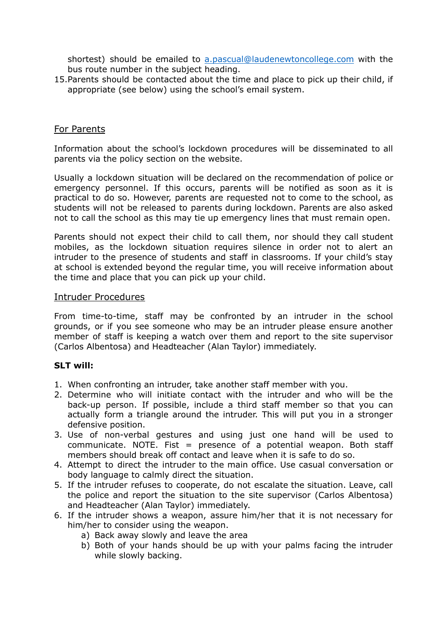shortest) should be emailed to [a.pascual@laudenewtoncollege.com](mailto:a.pascual@laudenewtoncollege.com) with the bus route number in the subject heading.

15.Parents should be contacted about the time and place to pick up their child, if appropriate (see below) using the school's email system.

### For Parents

Information about the school's lockdown procedures will be disseminated to all parents via the policy section on the website.

Usually a lockdown situation will be declared on the recommendation of police or emergency personnel. If this occurs, parents will be notified as soon as it is practical to do so. However, parents are requested not to come to the school, as students will not be released to parents during lockdown. Parents are also asked not to call the school as this may tie up emergency lines that must remain open.

Parents should not expect their child to call them, nor should they call student mobiles, as the lockdown situation requires silence in order not to alert an intruder to the presence of students and staff in classrooms. If your child's stay at school is extended beyond the regular time, you will receive information about the time and place that you can pick up your child.

#### Intruder Procedures

From time-to-time, staff may be confronted by an intruder in the school grounds, or if you see someone who may be an intruder please ensure another member of staff is keeping a watch over them and report to the site supervisor (Carlos Albentosa) and Headteacher (Alan Taylor) immediately.

#### **SLT will:**

- 1. When confronting an intruder, take another staff member with you.
- 2. Determine who will initiate contact with the intruder and who will be the back-up person. If possible, include a third staff member so that you can actually form a triangle around the intruder. This will put you in a stronger defensive position.
- 3. Use of non-verbal gestures and using just one hand will be used to communicate. NOTE. Fist  $=$  presence of a potential weapon. Both staff members should break off contact and leave when it is safe to do so.
- 4. Attempt to direct the intruder to the main office. Use casual conversation or body language to calmly direct the situation.
- 5. If the intruder refuses to cooperate, do not escalate the situation. Leave, call the police and report the situation to the site supervisor (Carlos Albentosa) and Headteacher (Alan Taylor) immediately.
- 6. If the intruder shows a weapon, assure him/her that it is not necessary for him/her to consider using the weapon.
	- a) Back away slowly and leave the area
	- b) Both of your hands should be up with your palms facing the intruder while slowly backing.